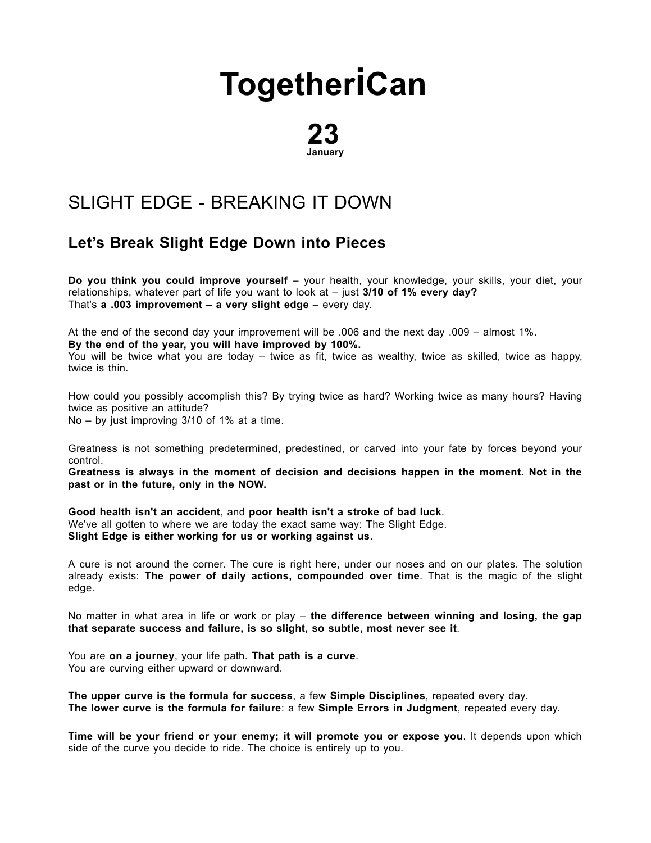## **[Together](http://togetherican.com/)iCan**

23 January

## SLIGHT EDGE - [BREAKING](file:///E:/GilbertStudios/clients/michaelMcCright/togetherican.com/wwwroot/events-180123b-Slight-Edge-Breaking-it-down.html) IT DOWN

## Let's Break Slight Edge Down into Pieces

Do you think you could improve yourself – your health, your knowledge, your skills, your diet, your relationships, whatever part of life you want to look at  $-$  just 3/10 of 1% every day? That's a .003 improvement – a very slight edge – every day.

At the end of the second day your improvement will be .006 and the next day .009 – almost 1%.

By the end of the year, you will have improved by 100%.

You will be twice what you are today – twice as fit, twice as wealthy, twice as skilled, twice as happy, twice is thin.

How could you possibly accomplish this? By trying twice as hard? Working twice as many hours? Having twice as positive an attitude? No – by just improving 3/10 of 1% at a time.

Greatness is not something predetermined, predestined, or carved into your fate by forces beyond your control.

Greatness is always in the moment of decision and decisions happen in the moment. Not in the past or in the future, only in the NOW.

Good health isn't an accident, and poor health isn't a stroke of bad luck. We've all gotten to where we are today the exact same way: The Slight Edge. Slight Edge is either working for us or working against us.

A cure is not around the corner. The cure is right here, under our noses and on our plates. The solution already exists: The power of daily actions, compounded over time. That is the magic of the slight edge.

No matter in what area in life or work or play – the difference between winning and losing, the gap that separate success and failure, is so slight, so subtle, most never see it.

You are on a journey, your life path. That path is a curve. You are curving either upward or downward.

The upper curve is the formula for success, a few Simple Disciplines, repeated every day. The lower curve is the formula for failure: a few Simple Errors in Judgment, repeated every day.

Time will be your friend or your enemy; it will promote you or expose you. It depends upon which side of the curve you decide to ride. The choice is entirely up to you.